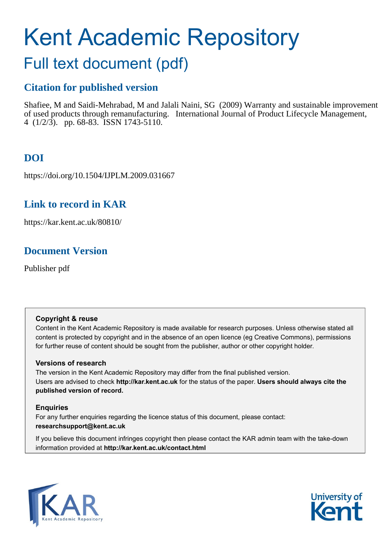# Kent Academic Repository

## Full text document (pdf)

## **Citation for published version**

Shafiee, M and Saidi-Mehrabad, M and Jalali Naini, SG (2009) Warranty and sustainable improvement of used products through remanufacturing. International Journal of Product Lifecycle Management, 4 (1/2/3). pp. 68-83. ISSN 1743-5110.

## **DOI**

https://doi.org/10.1504/IJPLM.2009.031667

## **Link to record in KAR**

https://kar.kent.ac.uk/80810/

## **Document Version**

Publisher pdf

#### **Copyright & reuse**

Content in the Kent Academic Repository is made available for research purposes. Unless otherwise stated all content is protected by copyright and in the absence of an open licence (eg Creative Commons), permissions for further reuse of content should be sought from the publisher, author or other copyright holder.

#### **Versions of research**

The version in the Kent Academic Repository may differ from the final published version. Users are advised to check **http://kar.kent.ac.uk** for the status of the paper. **Users should always cite the published version of record.**

#### **Enquiries**

For any further enquiries regarding the licence status of this document, please contact: **researchsupport@kent.ac.uk**

If you believe this document infringes copyright then please contact the KAR admin team with the take-down information provided at **http://kar.kent.ac.uk/contact.html**



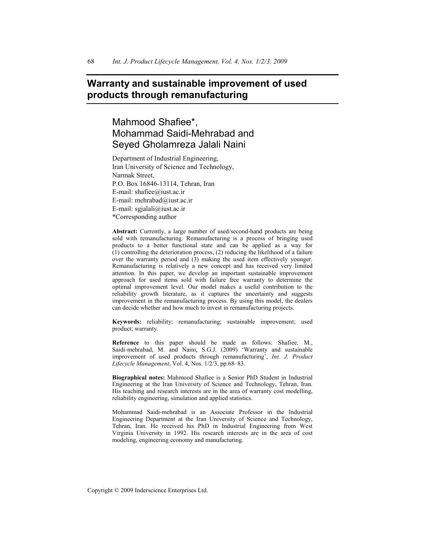#### **Warranty and sustainable improvement of used products through remanufacturing**

### Mahmood Shafiee\*, Mohammad Saidi-Mehrabad and Seyed Gholamreza Jalali Naini

Department of Industrial Engineering, Iran University of Science and Technology, Narmak Street, P.O. Box 16846-13114, Tehran, Iran E-mail: shafiee@iust.ac.ir E-mail: mehrabad@iust.ac.ir E-mail: sgjalali@iust.ac.ir \*Corresponding author

**Abstract:** Currently, a large number of used/second-hand products are being sold with remanufacturing. Remanufacturing is a process of bringing used products to a better functional state and can be applied as a way for  $(1)$  controlling the deterioration process,  $(2)$  reducing the likelihood of a failure over the warranty period and  $(3)$  making the used item effectively younger. Remanufacturing is relatively a new concept and has received very limited attention. In this paper, we develop an important sustainable improvement approach for used items sold with failure free warranty to determine the optimal improvement level. Our model makes a useful contribution to the reliability growth literature, as it captures the uncertainty and suggests improvement in the remanufacturing process. By using this model, the dealers can decide whether and how much to invest in remanufacturing projects.

**Keywords:** reliability; remanufacturing; sustainable improvement; used product; warranty.

**Reference** to this paper should be made as follows: Shafiee, M., Saidi-mehrabad, M. and Naini, S.G.J. (2009) 'Warranty and sustainable improvement of used products through remanufacturing', *Int. J. Product Lifecycle Management*, Vol. 4, Nos. 1/2/3, pp.68–83.

**Biographical notes:** Mahmood Shafiee is a Senior PhD Student in Industrial Engineering at the Iran University of Science and Technology, Tehran, Iran. His teaching and research interests are in the area of warranty cost modelling, reliability engineering, simulation and applied statistics.

Mohammad Saidi-mehrabad is an Associate Professor in the Industrial Engineering Department at the Iran University of Science and Technology, Tehran, Iran. He received his PhD in Industrial Engineering from West Virginia University in 1992. His research interests are in the area of cost modeling, engineering economy and manufacturing.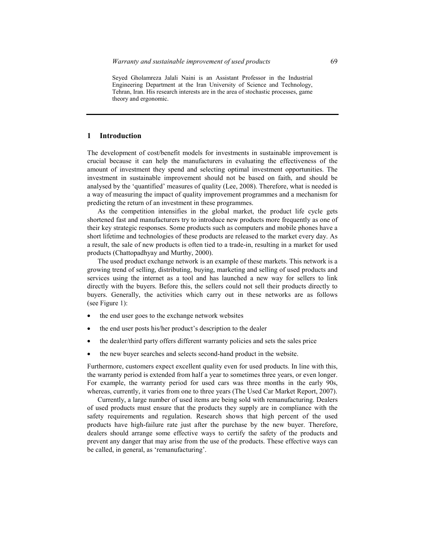Seyed Gholamreza Jalali Naini is an Assistant Professor in the Industrial Engineering Department at the Iran University of Science and Technology, Tehran, Iran. His research interests are in the area of stochastic processes, game theory and ergonomic.

#### **1 Introduction**

The development of cost/benefit models for investments in sustainable improvement is crucial because it can help the manufacturers in evaluating the effectiveness of the amount of investment they spend and selecting optimal investment opportunities. The investment in sustainable improvement should not be based on faith, and should be analysed by the 'quantified' measures of quality (Lee, 2008). Therefore, what is needed is a way of measuring the impact of quality improvement programmes and a mechanism for predicting the return of an investment in these programmes.

As the competition intensifies in the global market, the product life cycle gets shortened fast and manufacturers try to introduce new products more frequently as one of their key strategic responses. Some products such as computers and mobile phones have a short lifetime and technologies of these products are released to the market every day. As a result, the sale of new products is often tied to a trade-in, resulting in a market for used products (Chattopadhyay and Murthy, 2000).

The used product exchange network is an example of these markets. This network is a growing trend of selling, distributing, buying, marketing and selling of used products and services using the internet as a tool and has launched a new way for sellers to link directly with the buyers. Before this, the sellers could not sell their products directly to buyers. Generally, the activities which carry out in these networks are as follows (see Figure 1):

- the end user goes to the exchange network websites
- the end user posts his/her product's description to the dealer
- the dealer/third party offers different warranty policies and sets the sales price
- the new buyer searches and selects second-hand product in the website.

Furthermore, customers expect excellent quality even for used products. In line with this, the warranty period is extended from half a year to sometimes three years, or even longer. For example, the warranty period for used cars was three months in the early 90s, whereas, currently, it varies from one to three years (The Used Car Market Report, 2007).

Currently, a large number of used items are being sold with remanufacturing. Dealers of used products must ensure that the products they supply are in compliance with the safety requirements and regulation. Research shows that high percent of the used products have high-failure rate just after the purchase by the new buyer. Therefore, dealers should arrange some effective ways to certify the safety of the products and prevent any danger that may arise from the use of the products. These effective ways can be called, in general, as 'remanufacturing'.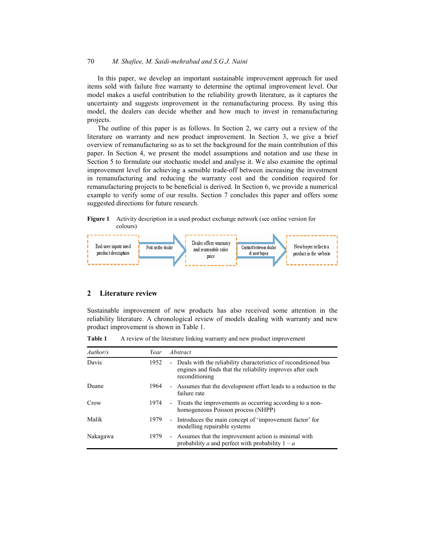In this paper, we develop an important sustainable improvement approach for used items sold with failure free warranty to determine the optimal improvement level. Our model makes a useful contribution to the reliability growth literature, as it captures the uncertainty and suggests improvement in the remanufacturing process. By using this model, the dealers can decide whether and how much to invest in remanufacturing projects.

The outline of this paper is as follows. In Section 2, we carry out a review of the literature on warranty and new product improvement. In Section 3, we give a brief overview of remanufacturing so as to set the background for the main contribution of this paper. In Section 4, we present the model assumptions and notation and use these in Section 5 to formulate our stochastic model and analyse it. We also examine the optimal improvement level for achieving a sensible trade-off between increasing the investment in remanufacturing and reducing the warranty cost and the condition required for remanufacturing projects to be beneficial is derived. In Section 6, we provide a numerical example to verify some of our results. Section 7 concludes this paper and offers some suggested directions for future research.

**Figure 1** Activity description in a used product exchange network (see online version for colours)



#### **2 Literature review**

Sustainable improvement of new products has also received some attention in the reliability literature. A chronological review of models dealing with warranty and new product improvement is shown in Table 1.

| Author/s | Year | Abstract                                                                                                                                          |
|----------|------|---------------------------------------------------------------------------------------------------------------------------------------------------|
| Davis    | 1952 | - Deals with the reliability characteristics of reconditioned bus<br>engines and finds that the reliability improves after each<br>reconditioning |
| Duane    | 1964 | - Assumes that the development effort leads to a reduction in the<br>failure rate                                                                 |
| Crow     | 1974 | - Treats the improvements as occurring according to a non-<br>homogeneous Poisson process (NHPP)                                                  |
| Malik    | 1979 | - Introduces the main concept of 'improvement factor' for<br>modelling repairable systems                                                         |
| Nakagawa | 1979 | - Assumes that the improvement action is minimal with<br>probability a and perfect with probability $1 - a$                                       |

**Table 1** A review of the literature linking warranty and new product improvement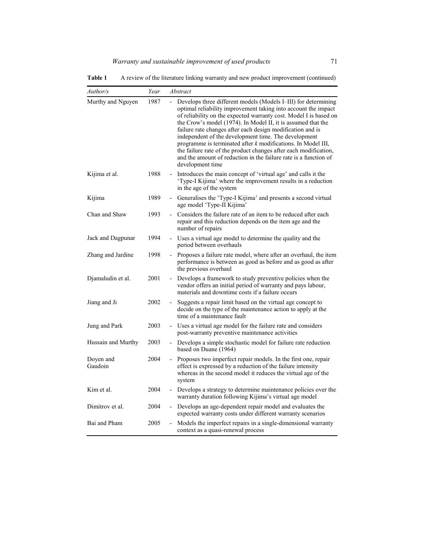| Author/s             | Year | Abstract                                                                                                                                                                                                                                                                                                                                                                                                                                                                                                                                                                                                                  |
|----------------------|------|---------------------------------------------------------------------------------------------------------------------------------------------------------------------------------------------------------------------------------------------------------------------------------------------------------------------------------------------------------------------------------------------------------------------------------------------------------------------------------------------------------------------------------------------------------------------------------------------------------------------------|
| Murthy and Nguyen    | 1987 | Develops three different models (Models I-III) for determining<br>optimal reliability improvement taking into account the impact<br>of reliability on the expected warranty cost. Model I is based on<br>the Crow's model (1974). In Model II, it is assumed that the<br>failure rate changes after each design modification and is<br>independent of the development time. The development<br>programme is terminated after $k$ modifications. In Model III,<br>the failure rate of the product changes after each modification,<br>and the amount of reduction in the failure rate is a function of<br>development time |
| Kijima et al.        | 1988 | Introduces the main concept of 'virtual age' and calls it the<br>'Type-I Kijima' where the improvement results in a reduction<br>in the age of the system                                                                                                                                                                                                                                                                                                                                                                                                                                                                 |
| Kijima               | 1989 | Generalises the 'Type-I Kijima' and presents a second virtual<br>age model 'Type-II Kijima'                                                                                                                                                                                                                                                                                                                                                                                                                                                                                                                               |
| Chan and Shaw        | 1993 | Considers the failure rate of an item to be reduced after each<br>repair and this reduction depends on the item age and the<br>number of repairs                                                                                                                                                                                                                                                                                                                                                                                                                                                                          |
| Jack and Dagpunar    | 1994 | - Uses a virtual age model to determine the quality and the<br>period between overhauls                                                                                                                                                                                                                                                                                                                                                                                                                                                                                                                                   |
| Zhang and Jardine    | 1998 | - Proposes a failure rate model, where after an overhaul, the item<br>performance is between as good as before and as good as after<br>the previous overhaul                                                                                                                                                                                                                                                                                                                                                                                                                                                              |
| Djamaludin et al.    | 2001 | Develops a framework to study preventive policies when the<br>vendor offers an initial period of warranty and pays labour,<br>materials and downtime costs if a failure occurs                                                                                                                                                                                                                                                                                                                                                                                                                                            |
| 2002<br>Jiang and Ji |      | - Suggests a repair limit based on the virtual age concept to<br>decide on the type of the maintenance action to apply at the<br>time of a maintenance fault                                                                                                                                                                                                                                                                                                                                                                                                                                                              |
| Jung and Park        | 2003 | - Uses a virtual age model for the failure rate and considers<br>post-warranty preventive maintenance activities                                                                                                                                                                                                                                                                                                                                                                                                                                                                                                          |
| Hussain and Murthy   | 2003 | Develops a simple stochastic model for failure rate reduction<br>based on Duane (1964)                                                                                                                                                                                                                                                                                                                                                                                                                                                                                                                                    |
| Doyen and<br>Gaudoin | 2004 | Proposes two imperfect repair models. In the first one, repair<br>effect is expressed by a reduction of the failure intensity<br>whereas in the second model it reduces the virtual age of the<br>system                                                                                                                                                                                                                                                                                                                                                                                                                  |
| Kim et al.           | 2004 | Develops a strategy to determine maintenance policies over the<br>warranty duration following Kijima's virtual age model                                                                                                                                                                                                                                                                                                                                                                                                                                                                                                  |
| Dimitrov et al.      | 2004 | Develops an age-dependent repair model and evaluates the<br>expected warranty costs under different warranty scenarios                                                                                                                                                                                                                                                                                                                                                                                                                                                                                                    |
| Bai and Pham         | 2005 | Models the imperfect repairs in a single-dimensional warranty<br>context as a quasi-renewal process                                                                                                                                                                                                                                                                                                                                                                                                                                                                                                                       |

**Table 1** A review of the literature linking warranty and new product improvement (continued)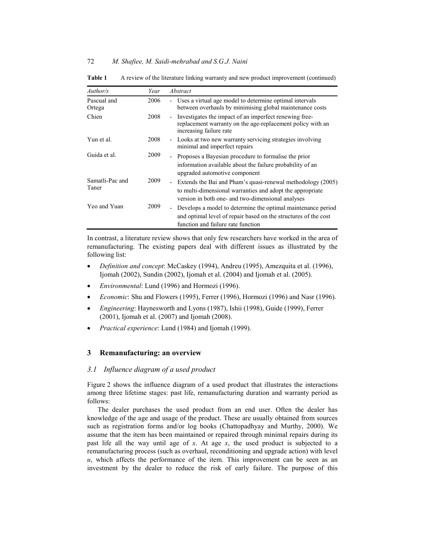| Author/s                 | Year | Abstract                                                                                                                                                                        |
|--------------------------|------|---------------------------------------------------------------------------------------------------------------------------------------------------------------------------------|
| Pascual and<br>Ortega    | 2006 | - Uses a virtual age model to determine optimal intervals<br>between overhauls by minimising global maintenance costs                                                           |
| Chien                    | 2008 | Investigates the impact of an imperfect renewing free-<br>$\sim$<br>replacement warranty on the age-replacement policy with an<br>increasing failure rate                       |
| Yun et al.               | 2008 | Looks at two new warranty servicing strategies involving<br>÷.<br>minimal and imperfect repairs                                                                                 |
| Guida et al.             | 2009 | - Proposes a Bayesian procedure to formalise the prior<br>information available about the failure probability of an<br>upgraded automotive component                            |
| Samatli-Pac and<br>Taner | 2009 | Extends the Bai and Pham's quasi-renewal methodology (2005)<br>to multi-dimensional warranties and adopt the appropriate<br>version in both one- and two-dimensional analyses   |
| Yeo and Yuan             | 2009 | Develops a model to determine the optimal maintenance period<br>$\sim$<br>and optimal level of repair based on the structures of the cost<br>function and failure rate function |

**Table 1** A review of the literature linking warranty and new product improvement (continued)

In contrast, a literature review shows that only few researchers have worked in the area of remanufacturing. The existing papers deal with different issues as illustrated by the following list:

- x *Definition and concept*: McCaskey (1994), Andreu (1995), Amezquita et al. (1996), Ijomah (2002), Sundin (2002), Ijomah et al. (2004) and Ijomah et al. (2005).
- *Environmental*: Lund (1996) and Hormozi (1996).
- x *Economic*: Shu and Flowers (1995), Ferrer (1996), Hormozi (1996) and Nasr (1996).
- x *Engineering*: Haynesworth and Lyons (1987), Ishii (1998), Guide (1999), Ferrer (2001), Ijomah et al. (2007) and Ijomah (2008).
- *Practical experience*: Lund (1984) and Ijomah (1999).

#### **3 Remanufacturing: an overview**

#### *3.1 Influence diagram of a used product*

Figure 2 shows the influence diagram of a used product that illustrates the interactions among three lifetime stages: past life, remanufacturing duration and warranty period as follows:

The dealer purchases the used product from an end user. Often the dealer has knowledge of the age and usage of the product. These are usually obtained from sources such as registration forms and/or log books (Chattopadhyay and Murthy, 2000). We assume that the item has been maintained or repaired through minimal repairs during its past life all the way until age of *x*. At age *x*, the used product is subjected to a remanufacturing process (such as overhaul, reconditioning and upgrade action) with level  $u$ , which affects the performance of the item. This improvement can be seen as an investment by the dealer to reduce the risk of early failure. The purpose of this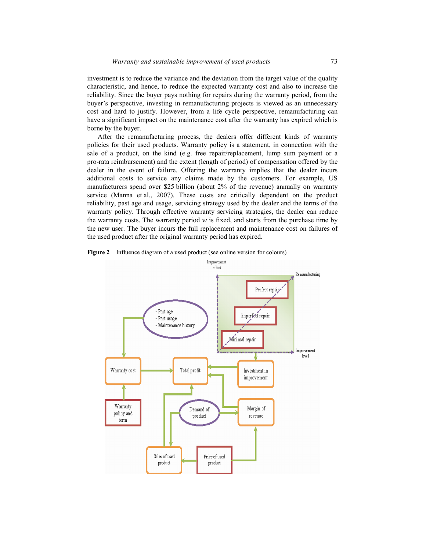investment is to reduce the variance and the deviation from the target value of the quality characteristic, and hence, to reduce the expected warranty cost and also to increase the reliability. Since the buyer pays nothing for repairs during the warranty period, from the buyer's perspective, investing in remanufacturing projects is viewed as an unnecessary cost and hard to justify. However, from a life cycle perspective, remanufacturing can have a significant impact on the maintenance cost after the warranty has expired which is borne by the buyer.

After the remanufacturing process, the dealers offer different kinds of warranty policies for their used products. Warranty policy is a statement, in connection with the sale of a product, on the kind (e.g. free repair/replacement, lump sum payment or a pro-rata reimbursement) and the extent (length of period) of compensation offered by the dealer in the event of failure. Offering the warranty implies that the dealer incurs additional costs to service any claims made by the customers. For example, US manufacturers spend over \$25 billion (about 2% of the revenue) annually on warranty service (Manna et al., 2007). These costs are critically dependent on the product reliability, past age and usage, servicing strategy used by the dealer and the terms of the warranty policy. Through effective warranty servicing strategies, the dealer can reduce the warranty costs. The warranty period  $w$  is fixed, and starts from the purchase time by the new user. The buyer incurs the full replacement and maintenance cost on failures of the used product after the original warranty period has expired.



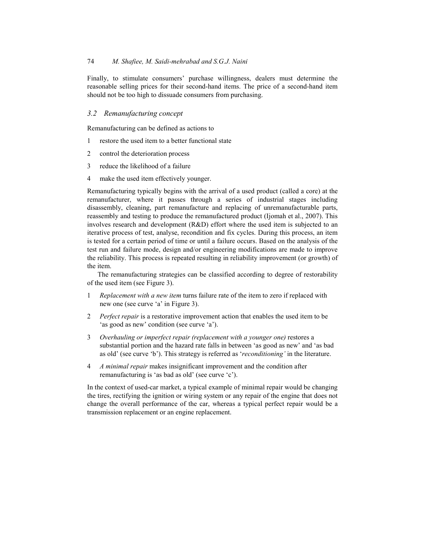Finally, to stimulate consumers' purchase willingness, dealers must determine the reasonable selling prices for their second-hand items. The price of a second-hand item should not be too high to dissuade consumers from purchasing.

#### *3.2 Remanufacturing concept*

Remanufacturing can be defined as actions to

- 1 restore the used item to a better functional state
- 2 control the deterioration process
- 3 reduce the likelihood of a failure
- 4 make the used item effectively younger.

Remanufacturing typically begins with the arrival of a used product (called a core) at the remanufacturer, where it passes through a series of industrial stages including disassembly, cleaning, part remanufacture and replacing of unremanufacturable parts, reassembly and testing to produce the remanufactured product (Ijomah et al., 2007). This involves research and development (R&D) effort where the used item is subjected to an iterative process of test, analyse, recondition and fix cycles. During this process, an item is tested for a certain period of time or until a failure occurs. Based on the analysis of the test run and failure mode, design and/or engineering modifications are made to improve the reliability. This process is repeated resulting in reliability improvement (or growth) of the item.

The remanufacturing strategies can be classified according to degree of restorability of the used item (see Figure 3).

- 1 *Replacement with a new item* turns failure rate of the item to zero if replaced with new one (see curve 'a' in Figure 3).
- 2 *Perfect repair* is a restorative improvement action that enables the used item to be 'as good as new' condition (see curve 'a').
- 3 *Overhauling or imperfect repair (replacement with a younger one)* restores a substantial portion and the hazard rate falls in between 'as good as new' and 'as bad as old' (see curve 'b'). This strategy is referred as '*reconditioning'* in the literature.
- 4 *A minimal repair* makes insignificant improvement and the condition after remanufacturing is 'as bad as old' (see curve 'c').

In the context of used-car market, a typical example of minimal repair would be changing the tires, rectifying the ignition or wiring system or any repair of the engine that does not change the overall performance of the car, whereas a typical perfect repair would be a transmission replacement or an engine replacement.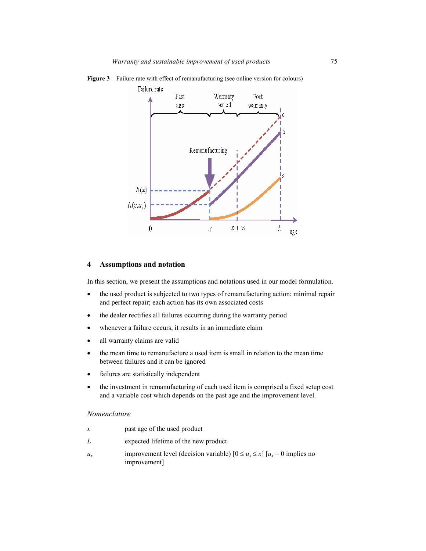

Figure 3 Failure rate with effect of remanufacturing (see online version for colours)

#### **4 Assumptions and notation**

In this section, we present the assumptions and notations used in our model formulation.

- the used product is subjected to two types of remanufacturing action: minimal repair and perfect repair; each action has its own associated costs
- the dealer rectifies all failures occurring during the warranty period
- whenever a failure occurs, it results in an immediate claim
- all warranty claims are valid
- the mean time to remanufacture a used item is small in relation to the mean time between failures and it can be ignored
- failures are statistically independent
- the investment in remanufacturing of each used item is comprised a fixed setup cost and a variable cost which depends on the past age and the improvement level.

#### *Nomenclature*

- *x* past age of the used product
- *L* expected lifetime of the new product
- *u<sub>x</sub>* improvement level (decision variable)  $[0 \le u_x \le x]$   $[u_x = 0$  implies no improvement]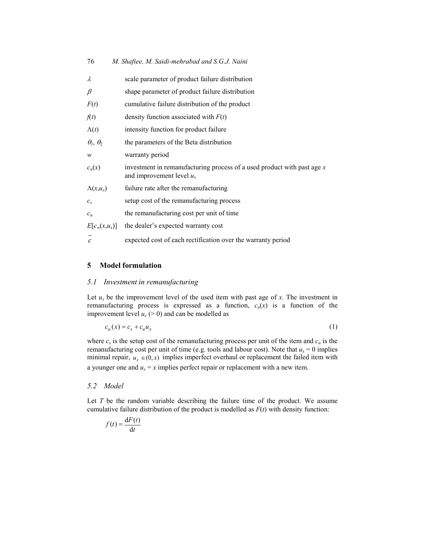| M. Shafiee, M. Saidi-mehrabad and S.G.J. Naini |  |
|------------------------------------------------|--|
|------------------------------------------------|--|

| λ                    | scale parameter of product failure distribution                                                          |
|----------------------|----------------------------------------------------------------------------------------------------------|
| $\beta$              | shape parameter of product failure distribution                                                          |
| F(t)                 | cumulative failure distribution of the product                                                           |
| f(t)                 | density function associated with $F(t)$                                                                  |
| $\Lambda(t)$         | intensity function for product failure                                                                   |
| $\theta_1, \theta_2$ | the parameters of the Beta distribution                                                                  |
| w                    | warranty period                                                                                          |
| $c_u(x)$             | investment in remanufacturing process of a used product with past age $x$<br>and improvement level $u_x$ |
| $\Lambda(x, u_x)$    | failure rate after the remanufacturing                                                                   |
| $c_{s}$              | setup cost of the remanufacturing process                                                                |
| $c_{\mu}$            | the remanufacturing cost per unit of time                                                                |
| $E[c_w(x,u_x)]$      | the dealer's expected warranty cost                                                                      |
| $\overline{c}$       | expected cost of each rectification over the warranty period                                             |

#### **5 Model formulation**

#### *5.1 Investment in remanufacturing*

Let  $u_x$  be the improvement level of the used item with past age of  $x$ . The investment in remanufacturing process is expressed as a function,  $c<sub>u</sub>(x)$  is a function of the improvement level  $u_x$  ( $> 0$ ) and can be modelled as

$$
c_u(x) = c_s + c_u u_x \tag{1}
$$

where  $c_s$  is the setup cost of the remanufacturing process per unit of the item and  $c_u$  is the remanufacturing cost per unit of time (e.g. tools and labour cost). Note that  $u_x = 0$  implies minimal repair,  $u_x \in (0, x)$  implies imperfect overhaul or replacement the failed item with a younger one and  $u_x = x$  implies perfect repair or replacement with a new item.

#### *5.2 Model*

Let *T* be the random variable describing the failure time of the product. We assume cumulative failure distribution of the product is modelled as *F*(*t*) with density function:

$$
f(t) = \frac{\mathrm{d}F(t)}{\mathrm{d}t}
$$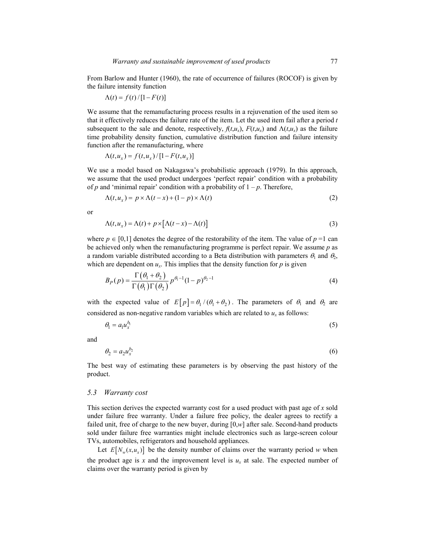From Barlow and Hunter (1960), the rate of occurrence of failures (ROCOF) is given by the failure intensity function

$$
\Lambda(t) = f(t) / [1 - F(t)]
$$

We assume that the remanufacturing process results in a rejuvenation of the used item so that it effectively reduces the failure rate of the item. Let the used item fail after a period *t* subsequent to the sale and denote, respectively,  $f(t, u_x)$ ,  $F(t, u_x)$  and  $\Lambda(t, u_x)$  as the failure time probability density function, cumulative distribution function and failure intensity function after the remanufacturing, where

$$
\Lambda(t, u_x) = f(t, u_x) / [1 - F(t, u_x)]
$$

We use a model based on Nakagawa's probabilistic approach (1979). In this approach, we assume that the used product undergoes 'perfect repair' condition with a probability of  $p$  and 'minimal repair' condition with a probability of  $1 - p$ . Therefore,

$$
\Lambda(t, u_x) = p \times \Lambda(t - x) + (1 - p) \times \Lambda(t)
$$
\n(2)

or

$$
\Lambda(t, u_x) = \Lambda(t) + p \times [\Lambda(t - x) - \Lambda(t)] \tag{3}
$$

where  $p \in [0,1]$  denotes the degree of the restorability of the item. The value of  $p = 1$  can be achieved only when the remanufacturing programme is perfect repair. We assume *p* as a random variable distributed according to a Beta distribution with parameters  $\theta_1$  and  $\theta_2$ , which are dependent on  $u_x$ . This implies that the density function for  $p$  is given

$$
B_P(p) = \frac{\Gamma(\theta_1 + \theta_2)}{\Gamma(\theta_1)\Gamma(\theta_2)} p^{\theta_1 - 1} (1 - p)^{\theta_2 - 1}
$$
\n(4)

with the expected value of  $E[p] = \theta_1/(\theta_1 + \theta_2)$ . The parameters of  $\theta_1$  and  $\theta_2$  are considered as non-negative random variables which are related to  $u_x$  as follows:

$$
\theta_1 = a_1 u_x^{b_1} \tag{5}
$$

and

$$
\theta_2 = a_2 u_x^{b_2} \tag{6}
$$

The best way of estimating these parameters is by observing the past history of the product.

#### *5.3 Warranty cost*

This section derives the expected warranty cost for a used product with past age of *x* sold under failure free warranty. Under a failure free policy, the dealer agrees to rectify a failed unit, free of charge to the new buyer, during [0,*w*] after sale. Second-hand products sold under failure free warranties might include electronics such as large-screen colour TVs, automobiles, refrigerators and household appliances.

Let  $E[N_w(x, u_x)]$  be the density number of claims over the warranty period *w* when the product age is *x* and the improvement level is  $u_x$  at sale. The expected number of claims over the warranty period is given by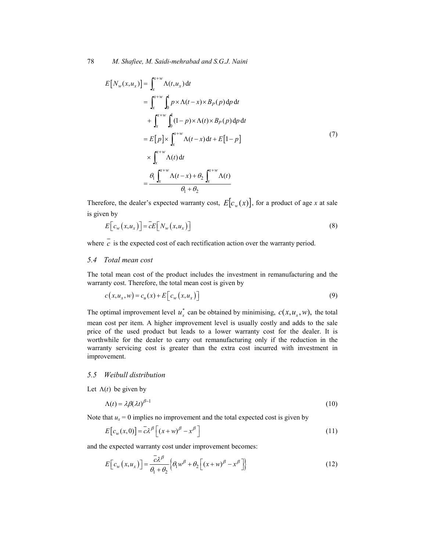$$
E[N_w(x, u_x)] = \int_x^{x+w} \Lambda(t, u_x) dt
$$
  
\n
$$
= \int_x^{x+w} \int_0^1 p \times \Lambda(t-x) \times B_P(p) dp dt
$$
  
\n
$$
+ \int_x^{x+w} \int_0^1 (1-p) \times \Lambda(t) \times B_P(p) dp dt
$$
  
\n
$$
= E[p] \times \int_x^{x+w} \Lambda(t-x) dt + E[1-p]
$$
  
\n
$$
\times \int_x^{x+w} \Lambda(t) dt
$$
  
\n
$$
= \frac{\theta_1 \int_x^{x+w} \Lambda(t-x) + \theta_2 \int_x^{x+w} \Lambda(t)}{\theta_1 + \theta_2}
$$
 (7)

Therefore, the dealer's expected warranty cost,  $E[c_w(x)]$ , for a product of age *x* at sale is given by

$$
E\big[c_w(x, u_x)\big]=\overline{c}E\big[N_w(x, u_x)\big]
$$
\n(8)

where  $\overline{c}$  is the expected cost of each rectification action over the warranty period.

#### *5.4 Total mean cost*

The total mean cost of the product includes the investment in remanufacturing and the warranty cost. Therefore, the total mean cost is given by

$$
c(x, u_x, w) = c_u(x) + E\left[c_w(x, u_x)\right]
$$
\n(9)

The optimal improvement level  $u^*_{x}$  can be obtained by minimising,  $c(x, u_x, w)$ , the total mean cost per item. A higher improvement level is usually costly and adds to the sale price of the used product but leads to a lower warranty cost for the dealer. It is worthwhile for the dealer to carry out remanufacturing only if the reduction in the warranty servicing cost is greater than the extra cost incurred with investment in improvement.

#### *5.5 Weibull distribution*

Let  $\Lambda(t)$  be given by

$$
\Lambda(t) = \lambda \beta (\lambda t)^{\beta - 1} \tag{10}
$$

Note that  $u_x = 0$  implies no improvement and the total expected cost is given by

$$
E[c_w(x,0)] = \bar{c}\lambda^{\beta} \left[ (x+w)^{\beta} - x^{\beta} \right]
$$
\n(11)

and the expected warranty cost under improvement becomes:

$$
E\left[c_{w}\left(x,u_{x}\right)\right]=\frac{\bar{c}\lambda^{\beta}}{\theta_{1}+\theta_{2}}\left\{\theta_{1}w^{\beta}+\theta_{2}\left[\left(x+w\right)^{\beta}-x^{\beta}\right]\right\}
$$
(12)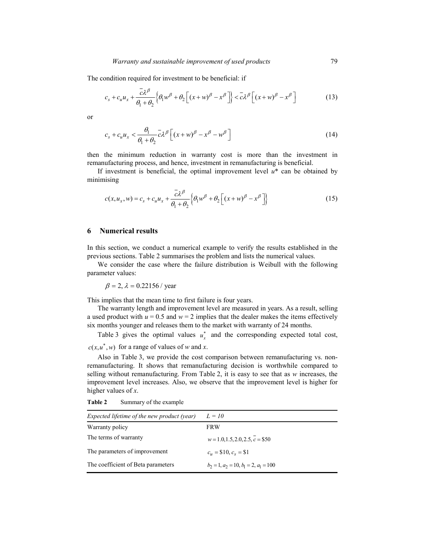The condition required for investment to be beneficial: if

$$
c_s + c_u u_x + \frac{\bar{c}\lambda^{\beta}}{\theta_1 + \theta_2} \Big\{ \theta_1 w^{\beta} + \theta_2 \Big[ (x + w)^{\beta} - x^{\beta} \Big] \Big\} < \bar{c}\lambda^{\beta} \Big[ (x + w)^{\beta} - x^{\beta} \Big]
$$
(13)

or

$$
c_s + c_u u_x < \frac{\theta_1}{\theta_1 + \theta_2} \bar{c} \lambda^\beta \left[ (x + w)^\beta - x^\beta - w^\beta \right] \tag{14}
$$

then the minimum reduction in warranty cost is more than the investment in remanufacturing process, and hence, investment in remanufacturing is beneficial.

If investment is beneficial, the optimal improvement level  $u^*$  can be obtained by minimising

$$
c(x, u_x, w) = c_s + c_u u_x + \frac{\overline{c}\lambda^{\beta}}{\theta_1 + \theta_2} \Big\{ \theta_1 w^{\beta} + \theta_2 \Big[ (x + w)^{\beta} - x^{\beta} \Big] \Big\}
$$
(15)

#### **6 Numerical results**

In this section, we conduct a numerical example to verify the results established in the previous sections. Table 2 summarises the problem and lists the numerical values.

We consider the case where the failure distribution is Weibull with the following parameter values:

$$
\beta = 2
$$
,  $\lambda = 0.22156 / year$ 

This implies that the mean time to first failure is four years.

The warranty length and improvement level are measured in years. As a result, selling a used product with  $u = 0.5$  and  $w = 2$  implies that the dealer makes the items effectively six months younger and releases them to the market with warranty of 24 months.

Table 3 gives the optimal values  $u_x^*$  and the corresponding expected total cost,  $c(x, u^*, w)$  for a range of values of *w* and *x*.

Also in Table 3, we provide the cost comparison between remanufacturing vs. nonremanufacturing. It shows that remanufacturing decision is worthwhile compared to selling without remanufacturing. From Table 2, it is easy to see that as *w* increases, the improvement level increases. Also, we observe that the improvement level is higher for higher values of *x*.

**Table 2** Summary of the example

| Expected lifetime of the new product (year) | $L = 10$                                         |
|---------------------------------------------|--------------------------------------------------|
| Warranty policy                             | <b>FRW</b>                                       |
| The terms of warranty                       | $w=1.0, 1.5, 2.0, 2.5, c=$ \$50                  |
| The parameters of improvement               | $c_u = $10, c_s = $1$                            |
| The coefficient of Beta parameters          | $b_2 = 1$ , $a_2 = 10$ , $b_1 = 2$ , $a_1 = 100$ |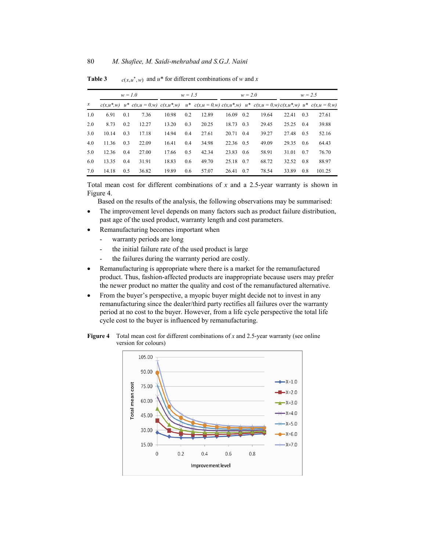|                  | $w = 1.0$ |     |                                                                                                                                 | $w = 1.5$ |     |       | $w = 2.0$ |     |       | $w = 2.5$ |     |        |
|------------------|-----------|-----|---------------------------------------------------------------------------------------------------------------------------------|-----------|-----|-------|-----------|-----|-------|-----------|-----|--------|
| $\boldsymbol{x}$ |           |     | $c(x,u^*,w)$ $u^*$ $c(x,u=0,w)$ $c(x,u^*,w)$ $u^*$ $c(x,u=0,w)$ $c(x,u^*,w)$ $u^*$ $c(x,u=0,w)$ $c(x,u^*,w)$ $u^*$ $c(x,u=0,w)$ |           |     |       |           |     |       |           |     |        |
| 1.0              | 6.91      | 0.1 | 7.36                                                                                                                            | 10.98     | 0.2 | 12.89 | 16.09     | 0.2 | 19.64 | 22.41     | 0.3 | 27.61  |
| 2.0              | 8.73      | 0.2 | 12.27                                                                                                                           | 13.20     | 0.3 | 20.25 | 18.73 0.3 |     | 29.45 | 25.25     | 0.4 | 39.88  |
| 3.0              | 10.14     | 0.3 | 17.18                                                                                                                           | 14.94     | 0.4 | 27.61 | 20.71 0.4 |     | 39.27 | 27.48     | 0.5 | 52.16  |
| 4.0              | 11.36     | 0.3 | 22.09                                                                                                                           | 16.41     | 0.4 | 34.98 | 22.36 0.5 |     | 49.09 | 29.35     | 0.6 | 64.43  |
| 5.0              | 12.36     | 0.4 | 27.00                                                                                                                           | 17.66     | 0.5 | 42.34 | 23.83 0.6 |     | 58.91 | 31.01     | 0.7 | 76.70  |
| 6.0              | 13.35     | 0.4 | 31.91                                                                                                                           | 18.83     | 0.6 | 49.70 | 25.18     | 0.7 | 68.72 | 32.52     | 0.8 | 88.97  |
| 7.0              | 14.18     | 0.5 | 36.82                                                                                                                           | 19.89     | 0.6 | 57.07 | 26.41     | 0.7 | 78.54 | 33.89     | 0.8 | 101.25 |

**Table 3** *c(x, u<sup>\*</sup>, w)* and *u*<sup>\*</sup> for different combinations of *w* and *x* 

Total mean cost for different combinations of *x* and a 2.5-year warranty is shown in Figure 4.

Based on the results of the analysis, the following observations may be summarised:

- The improvement level depends on many factors such as product failure distribution, past age of the used product, warranty length and cost parameters.
- Remanufacturing becomes important when
	- warranty periods are long
	- the initial failure rate of the used product is large
	- the failures during the warranty period are costly.
- Remanufacturing is appropriate where there is a market for the remanufactured product. Thus, fashion-affected products are inappropriate because users may prefer the newer product no matter the quality and cost of the remanufactured alternative.
- From the buyer's perspective, a myopic buyer might decide not to invest in any remanufacturing since the dealer/third party rectifies all failures over the warranty period at no cost to the buyer. However, from a life cycle perspective the total life cycle cost to the buyer is influenced by remanufacturing.

**Figure 4** Total mean cost for different combinations of *x* and 2.5-year warranty (see online version for colours)

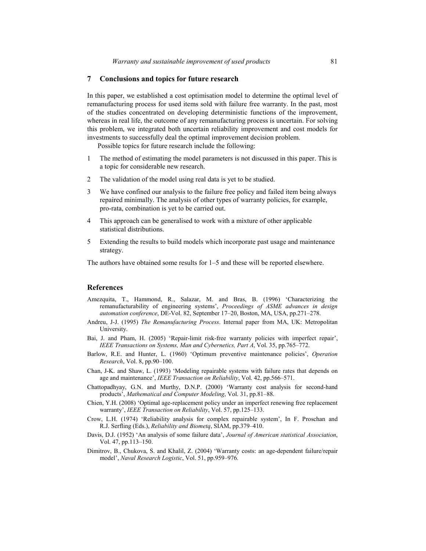#### **7 Conclusions and topics for future research**

In this paper, we established a cost optimisation model to determine the optimal level of remanufacturing process for used items sold with failure free warranty. In the past, most of the studies concentrated on developing deterministic functions of the improvement, whereas in real life, the outcome of any remanufacturing process is uncertain. For solving this problem, we integrated both uncertain reliability improvement and cost models for investments to successfully deal the optimal improvement decision problem.

Possible topics for future research include the following:

- 1 The method of estimating the model parameters is not discussed in this paper. This is a topic for considerable new research.
- 2 The validation of the model using real data is yet to be studied.
- 3 We have confined our analysis to the failure free policy and failed item being always repaired minimally. The analysis of other types of warranty policies, for example, pro-rata, combination is yet to be carried out.
- 4 This approach can be generalised to work with a mixture of other applicable statistical distributions.
- 5 Extending the results to build models which incorporate past usage and maintenance strategy.

The authors have obtained some results for 1–5 and these will be reported elsewhere.

#### **References**

- Amezquita, T., Hammond, R., Salazar, M. and Bras, B. (1996) 'Characterizing the remanufacturability of engineering systems', *Proceedings of ASME advances in design automation conference*, DE-Vol. 82, September 17–20, Boston, MA, USA, pp.271–278.
- Andreu, J-J. (1995) *The Remanufacturing Process*. Internal paper from MA, UK: Metropolitan University.
- Bai, J. and Pham, H. (2005) 'Repair-limit risk-free warranty policies with imperfect repair', *IEEE Transactions on Systems, Man and Cybernetics, Part A*, Vol. 35, pp.765–772.
- Barlow, R.E. and Hunter, L. (1960) 'Optimum preventive maintenance policies', *Operation Research*, Vol. 8, pp.90–100.
- Chan, J-K. and Shaw, L. (1993) 'Modeling repairable systems with failure rates that depends on age and maintenance', *IEEE Transaction on Reliability*, Vol. 42, pp.566–571.
- Chattopadhyay, G.N. and Murthy, D.N.P. (2000) 'Warranty cost analysis for second-hand products', *Mathematical and Computer Modeling*, Vol. 31, pp.81–88.
- Chien, Y.H. (2008) 'Optimal age-replacement policy under an imperfect renewing free replacement warranty', *IEEE Transaction on Reliability*, Vol. 57, pp.125–133.
- Crow, L.H. (1974) 'Reliability analysis for complex repairable system', In F. Proschan and R.J. Serfling (Eds.), *Reliability and Biometq*, SIAM, pp.379–410.
- Davis, D.J. (1952) 'An analysis of some failure data', *Journal of American statistical Association*, Vol. 47, pp.113–150.
- Dimitrov, B., Chukova, S. and Khalil, Z. (2004) 'Warranty costs: an age-dependent failure/repair model', *Naval Research Logistic*, Vol. 51, pp.959–976.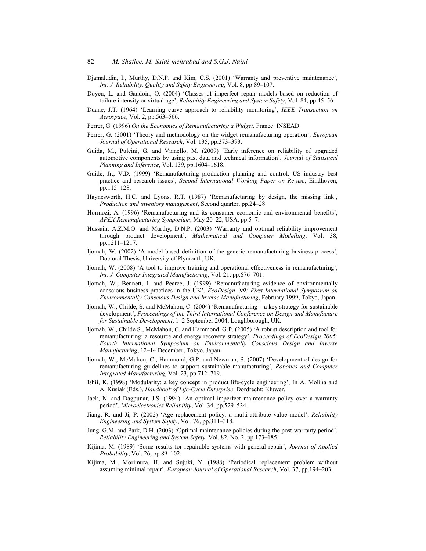- Djamaludin, I., Murthy, D.N.P. and Kim, C.S. (2001) 'Warranty and preventive maintenance', *Int. J. Reliability, Quality and Safety Engineering*, Vol. 8, pp.89–107.
- Doyen, L. and Gaudoin, O. (2004) 'Classes of imperfect repair models based on reduction of failure intensity or virtual age', *Reliability Engineering and System Safety*, Vol. 84, pp.45–56.
- Duane, J.T. (1964) 'Learning curve approach to reliability monitoring', *IEEE Transaction on Aerospace*, Vol. 2, pp.563–566.
- Ferrer, G. (1996) *On the Economics of Remanufacturing a Widget*. France: INSEAD.
- Ferrer, G. (2001) 'Theory and methodology on the widget remanufacturing operation', *European Journal of Operational Research*, Vol. 135, pp.373–393.
- Guida, M., Pulcini, G. and Vianello, M. (2009) 'Early inference on reliability of upgraded automotive components by using past data and technical information', *Journal of Statistical Planning and Inference*, Vol. 139, pp.1604–1618.
- Guide, Jr., V.D. (1999) 'Remanufacturing production planning and control: US industry best practice and research issues', *Second International Working Paper on Re-use*, Eindhoven, pp.115–128.
- Haynesworth, H.C. and Lyons, R.T. (1987) 'Remanufacturing by design, the missing link', *Production and inventory management*, Second quarter, pp.24–28.
- Hormozi, A. (1996) 'Remanufacturing and its consumer economic and environmental benefits', *APEX Remanufacturing Symposium*, May 20–22, USA, pp.5–7.
- Hussain, A.Z.M.O. and Murthy, D.N.P. (2003) 'Warranty and optimal reliability improvement through product development', *Mathematical and Computer Modelling*, Vol. 38, pp.1211–1217.
- Ijomah, W. (2002) 'A model-based definition of the generic remanufacturing business process', Doctoral Thesis, University of Plymouth, UK.
- Ijomah, W. (2008) 'A tool to improve training and operational effectiveness in remanufacturing', *Int. J. Computer Integrated Manufacturing*, Vol. 21, pp.676–701.
- Ijomah, W., Bennett, J. and Pearce, J. (1999) 'Remanufacturing evidence of environmentally conscious business practices in the UK', *EcoDesign '99: First International Symposium on Environmentally Conscious Design and Inverse Manufacturing*, February 1999, Tokyo, Japan.
- Ijomah, W., Childe, S. and McMahon, C. (2004) 'Remanufacturing a key strategy for sustainable development', *Proceedings of the Third International Conference on Design and Manufacture for Sustainable Development*, 1–2 September 2004, Loughborough, UK.
- Ijomah, W., Childe S., McMahon, C. and Hammond, G.P. (2005) 'A robust description and tool for remanufacturing: a resource and energy recovery strategy', *Proceedings of EcoDesign 2005: Fourth International Symposium on Environmentally Conscious Design and Inverse Manufacturing*, 12–14 December, Tokyo, Japan.
- Ijomah, W., McMahon, C., Hammond, G.P. and Newman, S. (2007) 'Development of design for remanufacturing guidelines to support sustainable manufacturing', *Robotics and Computer Integrated Manufacturing*, Vol. 23, pp.712–719.
- Ishii, K. (1998) 'Modularity: a key concept in product life-cycle engineering', In A. Molina and A. Kusiak (Eds.), *Handbook of Life-Cycle Enterprise*. Dordrecht: Kluwer.
- Jack, N. and Dagpunar, J.S. (1994) 'An optimal imperfect maintenance policy over a warranty period', *Microelectronics Reliability*, Vol. 34, pp.529–534.
- Jiang, R. and Ji, P. (2002) 'Age replacement policy: a multi-attribute value model', *Reliability Engineering and System Safety*, Vol. 76, pp.311–318.
- Jung, G.M. and Park, D.H. (2003) 'Optimal maintenance policies during the post-warranty period', *Reliability Engineering and System Safety*, Vol. 82, No. 2, pp.173–185.
- Kijima, M. (1989) 'Some results for repairable systems with general repair', *Journal of Applied Probability*, Vol. 26, pp.89–102.
- Kijima, M., Morimura, H. and Sujuki, Y. (1988) 'Periodical replacement problem without assuming minimal repair', *European Journal of Operational Research*, Vol. 37, pp.194–203.